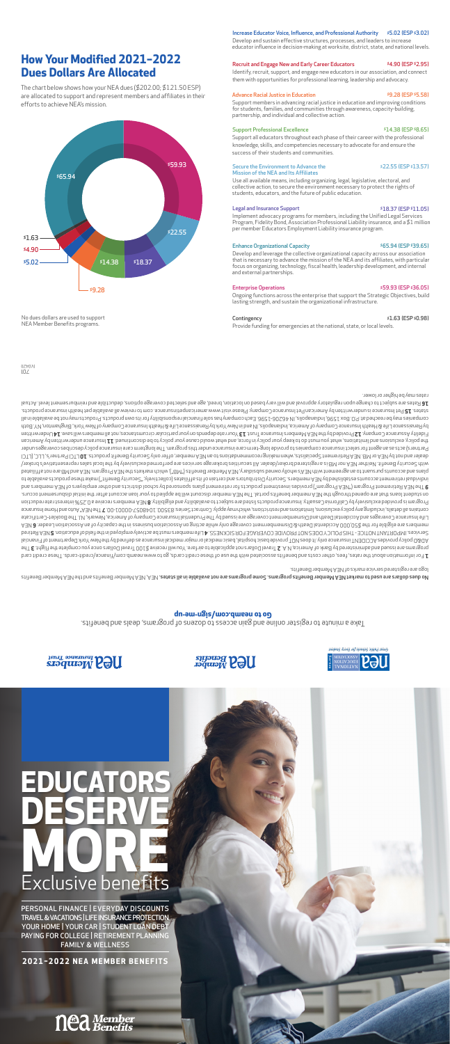### Take a minute to register online and gain access to dozens of programs, deals and benefits. **Go to neamb.com/sign-me-up**

No dues dollars hene the Member Benefits programs. Some programs are not available in all states. NEA Member Benefits and the Member Benefits tritions are tradiob and the Neural states. logo are registered service marks of NEA Member Benefits.

For information about the rates, fees, other costs and benefits associated with the use of these credit cards, go to www.neamb.com/finance/credit-cards. These credit card **1**  The **<sup>3</sup>** Travel Dollars not applicable to airfare. You will receive \$100 Travel Dollars once you complete the flight. **2** programs are issued and administered by Bank of America, N.A. AD&D policy provides ACCIDENT insurance only. It does NOT provide basic hospital, basic medical or major medical insurance as defined by the New York Department of Financial Services. IMPORTAUT NOTICE - THIS POLICY DOES NOT PROVIDE COVERAGE FOR SICKNESS. 4 Life members must be actively enducation. **4** Serired Reducation. **5** NEA Retired A 3D a nebee Inotisio ce An as distingued and nite association of the sension and mediator business in the capacity of the Cloid Ca and is aldiglie on a redmem A DUO, Da and the predmem Life Insurance Coverages and Accidental Death and Dismemberment coverage are issued by The Prudential Insurance Company of America, Newark, NJ. The Booklet-Certificate The Supprame Indiational Auto Auto and Fugurations and restrictions and apply. Contract Series: 83500. 10480601-0000-0001-00. The MEA® Auto and Home Insurace contractions, and the NEA® Auto and Home Insurace varies and Ins Program is provided exclusively by California Casualty. Interest reducts a reduction of thilidiglia by thilidigila by California Casualty districts in the stated uction insubs a belivor q si mengord in thilidigile by the s on student loans that are opened through the NEA member benefits portal. The NEA member discount will be applied to your loan account after the initial disbursement occurs. The NEA Retirement Program ("NEA Program") provides investment products for retirement plans sponsored by school districts and other employers of NEA members and **9** individual retirement accounts established by NEA members. Security Distributors and certain basis and collectively, "Security Benefit") make these prouds as an experienting benefit") make these products available to betsiliths ton ens BM bns A3M. mengon9 A3M edt eteshanm bidw, ("BM") etiteneB nedmeM A3M vysibiadue benwo vllodw e'A3M dtiw tnemeengs ns ot tnaueruq etnuoops bns enslq with Security Benefit. Neither NEA nor MB is a registered broker/dealer. All securities brokerage services are performed exclusively by the local sales representative's broker/ LTCI Partner and not by NEA Retirement Specialists, when making recommendations to and EA or May or Nea Orly Security Benefit products. **10** LCI Partner's, LLC, (LTCI Partners) acts as an agent for select insurance companies to provide long-term care insurance under this program. The longterm care insurance policy describes coverages under Insurance underwritten by American what you must do texp your policy in force, and what would cause your policy to be discontinued. **II** haunit dose in a hat ince what in force, and the what ince to be discontinued. In for nettin **AL** evsalliw anedmem lls ton resonstamusnis nalusit neq nov no sbneqeb efs nuoY EL teunT esnanusnl anedmeM A∃Medt yd bebivon9 SL vnaqmo0 esnanuseA vtilebi∃ by Renaissance Life & Health Insurance, Owerica, Indianapolis, Indianapolism of Wealth Insurace Life & Health Insurance Company of New York, Binghamton, NY. Both Ils ni aldslisvs ad ton ysm ethory at to boy a mode at it of whildiznoqean laionsnit alos zad ynaqmoo dos 1.082-0050 b VII, alloqansibnl, a02 I xod .0.9. ta badosan ad yam esinaqmoo Pet Insurance is underwritten by American Pet Insurance Company. Please visit www.americanpetinsurance. com to review all available pet health insurance products. **15** states. Rates are subject to change upon regulatory approval and will vary based on location, breed, age and selected coverage options, deductible and reimbursement level. Actual **16**  rates may be higher or lower.

 $10/$  $(17b0)$  Ongoing functions across the enterprise that support the Strategic Objectives, build lasting strength, and sustain the organizational infrastructure.

\$4.90 \$1.63 \$22.55  $$14.38$  \$18.37

### **How Your Modified 2021–2022 Dues Dollars Are Allocated**

The chart below shows how your NEA dues (\$202.00; \$121.50 ESP) are allocated to support and represent members and affiliates in their efforts to achieve NEA's mission.

### Recruit and Engage New and Early Career Educators

Identify, recruit, support, and engage new educators in our association, and connect them with opportunities for professional learning, leadership and advocacy.

### Advance Racial Justice in Education

### Support Professional Excellence

Support all educators throughout each phase of their career with the professional knowledge, skills, and competencies necessary to advocate for and ensure the success of their students and communities.

### Legal and Insurance Support

Implement advocacy programs for members, including the Unified Legal Services Program, Fidelity Bond, Association Professional Liability insurance, and a \$1 million per member Educators Employment Liability insurance program.

### Enterprise Operations

### Enhance Organizational Capacity

Support members in advancing racial justice in education and improving conditions for students, families, and communities through awareness, capacity-building, partnership, and individual and collective action. \$9.28 (ESP \$5.58)

No dues dollars are used to support NEA Member Benefits programs.

#### Secure the Environment to Advance the Mission of the NEA and Its Affiliates

Use all available means, including organizing, legal, legislative, electoral, and collective action, to secure the environment necessary to protect the rights of students, educators, and the future of public education.

Develop and leverage the collective organizational capacity across our association that is necessary to advance the mission of the NEA and its affiliates, with particular focus on organizing, technology, fiscal health, leadership development, and internal and external partnerships. \$65.94 (ESP \$39.65)

### Contingency

Provide funding for emergencies at the national, state, or local levels.

### Develop and sustain effective structures, processes, and leaders to increase

#### Increase Educator Voice, Influence, and Professional Authority \$5.02 (ESP \$3.02)

educator influence in decision-making at worksite, district, state, and national levels.

\$4.90 (ESP \$2.95)

\$14.38 (ESP \$8.65)

\$22.55 (ESP \$13.57)

\$18.37 (ESP \$11.05)

### \$59.93 (ESP \$36.05)

### \$1.63 (ESP \$0.98)



# \$59.93 \$65.94

PERSONAL FINANCE | EVERYDAY DISCOUNTS TRAVEL & VACATIONS | LIFE INSURANCE PROTECTION YOUR HOME | YOUR CAR | STUDENT LOAN DEBT PAYING FOR COLLEGE | RETIREMENT PLANNING FAMILY & WELLNESS

## **EDUCATORS DESERVE MORE** Exclusive benefits

**SHOUTHAM** 

**2021–2022 NEA MEMBER BENEFITS**

### **Ned Member**





neat Public Schools for Every Student